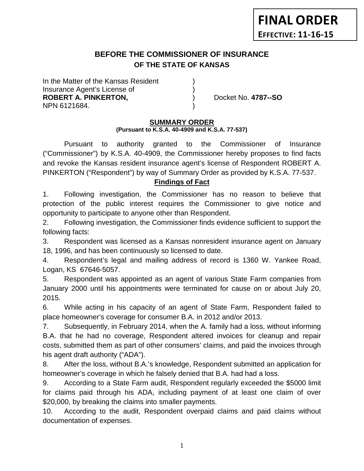# **BEFORE THE COMMISSIONER OF INSURANCE OF THE STATE OF KANSAS**

In the Matter of the Kansas Resident Insurance Agent's License of ) **ROBERT A. PINKERTON,** ) Docket No. **4787--SO** NPN 6121684. )

## **SUMMARY ORDER**

### **(Pursuant to K.S.A. 40-4909 and K.S.A. 77-537)**

Pursuant to authority granted to the Commissioner of Insurance ("Commissioner") by K.S.A. 40-4909, the Commissioner hereby proposes to find facts and revoke the Kansas resident insurance agent's license of Respondent ROBERT A. PINKERTON ("Respondent") by way of Summary Order as provided by K.S.A. 77-537.

## **Findings of Fact**

1. Following investigation, the Commissioner has no reason to believe that protection of the public interest requires the Commissioner to give notice and opportunity to participate to anyone other than Respondent.

2. Following investigation, the Commissioner finds evidence sufficient to support the following facts:

3. Respondent was licensed as a Kansas nonresident insurance agent on January 18, 1996, and has been continuously so licensed to date.

4. Respondent's legal and mailing address of record is 1360 W. Yankee Road, Logan, KS 67646-5057.

5. Respondent was appointed as an agent of various State Farm companies from January 2000 until his appointments were terminated for cause on or about July 20, 2015.

6. While acting in his capacity of an agent of State Farm, Respondent failed to place homeowner's coverage for consumer B.A. in 2012 and/or 2013.

7. Subsequently, in February 2014, when the A. family had a loss, without informing B.A. that he had no coverage, Respondent altered invoices for cleanup and repair costs, submitted them as part of other consumers' claims, and paid the invoices through his agent draft authority ("ADA").

8. After the loss, without B.A.'s knowledge, Respondent submitted an application for homeowner's coverage in which he falsely denied that B.A. had had a loss.

9. According to a State Farm audit, Respondent regularly exceeded the \$5000 limit for claims paid through his ADA, including payment of at least one claim of over \$20,000, by breaking the claims into smaller payments.

10. According to the audit, Respondent overpaid claims and paid claims without documentation of expenses.

1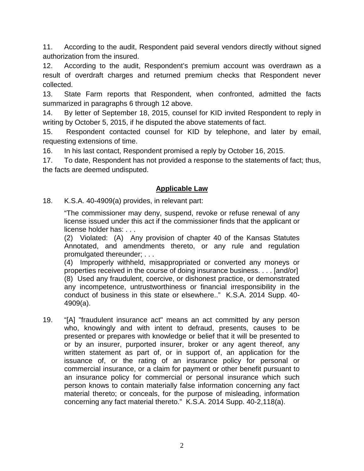11. According to the audit, Respondent paid several vendors directly without signed authorization from the insured.

12. According to the audit, Respondent's premium account was overdrawn as a result of overdraft charges and returned premium checks that Respondent never collected.

13. State Farm reports that Respondent, when confronted, admitted the facts summarized in paragraphs 6 through 12 above.

14. By letter of September 18, 2015, counsel for KID invited Respondent to reply in writing by October 5, 2015, if he disputed the above statements of fact.

15. Respondent contacted counsel for KID by telephone, and later by email, requesting extensions of time.

16. In his last contact, Respondent promised a reply by October 16, 2015.

17. To date, Respondent has not provided a response to the statements of fact; thus, the facts are deemed undisputed.

## **Applicable Law**

18. K.S.A. 40-4909(a) provides, in relevant part:

"The commissioner may deny, suspend, revoke or refuse renewal of any license issued under this act if the commissioner finds that the applicant or license holder has: . . .

(2) Violated: (A) Any provision of chapter 40 of the Kansas Statutes Annotated, and amendments thereto, or any rule and regulation promulgated thereunder; . . .

(4) Improperly withheld, misappropriated or converted any moneys or properties received in the course of doing insurance business. . . . [and/or] (8) Used any fraudulent, coercive, or dishonest practice, or demonstrated any incompetence, untrustworthiness or financial irresponsibility in the conduct of business in this state or elsewhere.." K.S.A. 2014 Supp. 40- 4909(a).

19. "[A] "fraudulent insurance act" means an act committed by any person who, knowingly and with intent to defraud, presents, causes to be presented or prepares with knowledge or belief that it will be presented to or by an insurer, purported insurer, broker or any agent thereof, any written statement as part of, or in support of, an application for the issuance of, or the rating of an insurance policy for personal or commercial insurance, or a claim for payment or other benefit pursuant to an insurance policy for commercial or personal insurance which such person knows to contain materially false information concerning any fact material thereto; or conceals, for the purpose of misleading, information concerning any fact material thereto." K.S.A. 2014 Supp. 40-2,118(a).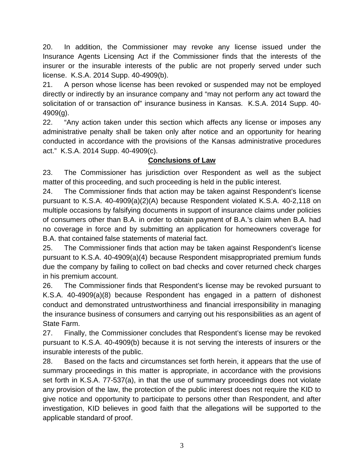20. In addition, the Commissioner may revoke any license issued under the Insurance Agents Licensing Act if the Commissioner finds that the interests of the insurer or the insurable interests of the public are not properly served under such license. K.S.A. 2014 Supp. 40-4909(b).

21. A person whose license has been revoked or suspended may not be employed directly or indirectly by an insurance company and "may not perform any act toward the solicitation of or transaction of" insurance business in Kansas. K.S.A. 2014 Supp. 40- 4909(g).

22. "Any action taken under this section which affects any license or imposes any administrative penalty shall be taken only after notice and an opportunity for hearing conducted in accordance with the provisions of the Kansas administrative procedures act." K.S.A. 2014 Supp. 40-4909(c).

## **Conclusions of Law**

23. The Commissioner has jurisdiction over Respondent as well as the subject matter of this proceeding, and such proceeding is held in the public interest.

24. The Commissioner finds that action may be taken against Respondent's license pursuant to K.S.A. 40-4909(a)(2)(A) because Respondent violated K.S.A. 40-2,118 on multiple occasions by falsifying documents in support of insurance claims under policies of consumers other than B.A. in order to obtain payment of B.A.'s claim when B.A. had no coverage in force and by submitting an application for homeowners coverage for B.A. that contained false statements of material fact.

25. The Commissioner finds that action may be taken against Respondent's license pursuant to K.S.A. 40-4909(a)(4) because Respondent misappropriated premium funds due the company by failing to collect on bad checks and cover returned check charges in his premium account.

26. The Commissioner finds that Respondent's license may be revoked pursuant to K.S.A. 40-4909(a)(8) because Respondent has engaged in a pattern of dishonest conduct and demonstrated untrustworthiness and financial irresponsibility in managing the insurance business of consumers and carrying out his responsibilities as an agent of State Farm.

27. Finally, the Commissioner concludes that Respondent's license may be revoked pursuant to K.S.A. 40-4909(b) because it is not serving the interests of insurers or the insurable interests of the public.

28. Based on the facts and circumstances set forth herein, it appears that the use of summary proceedings in this matter is appropriate, in accordance with the provisions set forth in K.S.A. 77-537(a), in that the use of summary proceedings does not violate any provision of the law, the protection of the public interest does not require the KID to give notice and opportunity to participate to persons other than Respondent, and after investigation, KID believes in good faith that the allegations will be supported to the applicable standard of proof.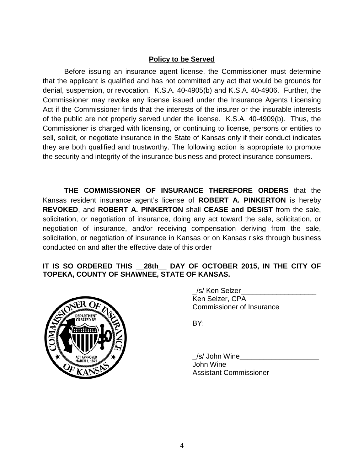## **Policy to be Served**

Before issuing an insurance agent license, the Commissioner must determine that the applicant is qualified and has not committed any act that would be grounds for denial, suspension, or revocation. K.S.A. 40-4905(b) and K.S.A. 40-4906. Further, the Commissioner may revoke any license issued under the Insurance Agents Licensing Act if the Commissioner finds that the interests of the insurer or the insurable interests of the public are not properly served under the license. K.S.A. 40-4909(b). Thus, the Commissioner is charged with licensing, or continuing to license, persons or entities to sell, solicit, or negotiate insurance in the State of Kansas only if their conduct indicates they are both qualified and trustworthy. The following action is appropriate to promote the security and integrity of the insurance business and protect insurance consumers.

**THE COMMISSIONER OF INSURANCE THEREFORE ORDERS** that the Kansas resident insurance agent's license of **ROBERT A. PINKERTON** is hereby **REVOKED**, and **ROBERT A. PINKERTON** shall **CEASE and DESIST** from the sale, solicitation, or negotiation of insurance, doing any act toward the sale, solicitation, or negotiation of insurance, and/or receiving compensation deriving from the sale, solicitation, or negotiation of insurance in Kansas or on Kansas risks through business conducted on and after the effective date of this order

## **IT IS SO ORDERED THIS \_\_28th\_\_ DAY OF OCTOBER 2015, IN THE CITY OF TOPEKA, COUNTY OF SHAWNEE, STATE OF KANSAS.**



/s/ Ken Selzer Ken Selzer, CPA Commissioner of Insurance

BY:

\_/s/ John Wine\_\_\_\_\_\_\_\_\_\_\_\_\_\_\_\_\_\_\_\_ John Wine Assistant Commissioner